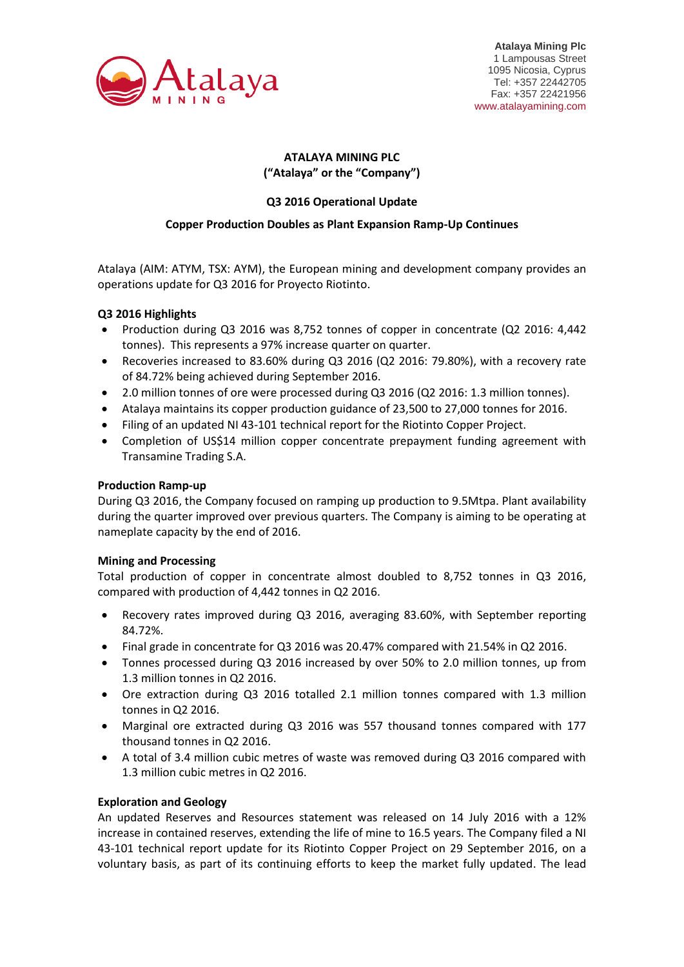

# **ATALAYA MINING PLC ("Atalaya" or the "Company")**

# **Q3 2016 Operational Update**

## **Copper Production Doubles as Plant Expansion Ramp-Up Continues**

Atalaya (AIM: ATYM, TSX: AYM), the European mining and development company provides an operations update for Q3 2016 for Proyecto Riotinto.

## **Q3 2016 Highlights**

- Production during Q3 2016 was 8,752 tonnes of copper in concentrate (Q2 2016: 4,442 tonnes). This represents a 97% increase quarter on quarter.
- Recoveries increased to 83.60% during Q3 2016 (Q2 2016: 79.80%), with a recovery rate of 84.72% being achieved during September 2016.
- 2.0 million tonnes of ore were processed during Q3 2016 (Q2 2016: 1.3 million tonnes).
- Atalaya maintains its copper production guidance of 23,500 to 27,000 tonnes for 2016.
- Filing of an updated NI 43-101 technical report for the Riotinto Copper Project.
- Completion of US\$14 million copper concentrate prepayment funding agreement with Transamine Trading S.A.

## **Production Ramp-up**

During Q3 2016, the Company focused on ramping up production to 9.5Mtpa. Plant availability during the quarter improved over previous quarters. The Company is aiming to be operating at nameplate capacity by the end of 2016.

## **Mining and Processing**

Total production of copper in concentrate almost doubled to 8,752 tonnes in Q3 2016, compared with production of 4,442 tonnes in Q2 2016.

- Recovery rates improved during Q3 2016, averaging 83.60%, with September reporting 84.72%.
- Final grade in concentrate for Q3 2016 was 20.47% compared with 21.54% in Q2 2016.
- Tonnes processed during Q3 2016 increased by over 50% to 2.0 million tonnes, up from 1.3 million tonnes in Q2 2016.
- Ore extraction during Q3 2016 totalled 2.1 million tonnes compared with 1.3 million tonnes in Q2 2016.
- Marginal ore extracted during Q3 2016 was 557 thousand tonnes compared with 177 thousand tonnes in Q2 2016.
- A total of 3.4 million cubic metres of waste was removed during Q3 2016 compared with 1.3 million cubic metres in Q2 2016.

## **Exploration and Geology**

An updated Reserves and Resources statement was released on 14 July 2016 with a 12% increase in contained reserves, extending the life of mine to 16.5 years. The Company filed a NI 43-101 technical report update for its Riotinto Copper Project on 29 September 2016, on a voluntary basis, as part of its continuing efforts to keep the market fully updated. The lead